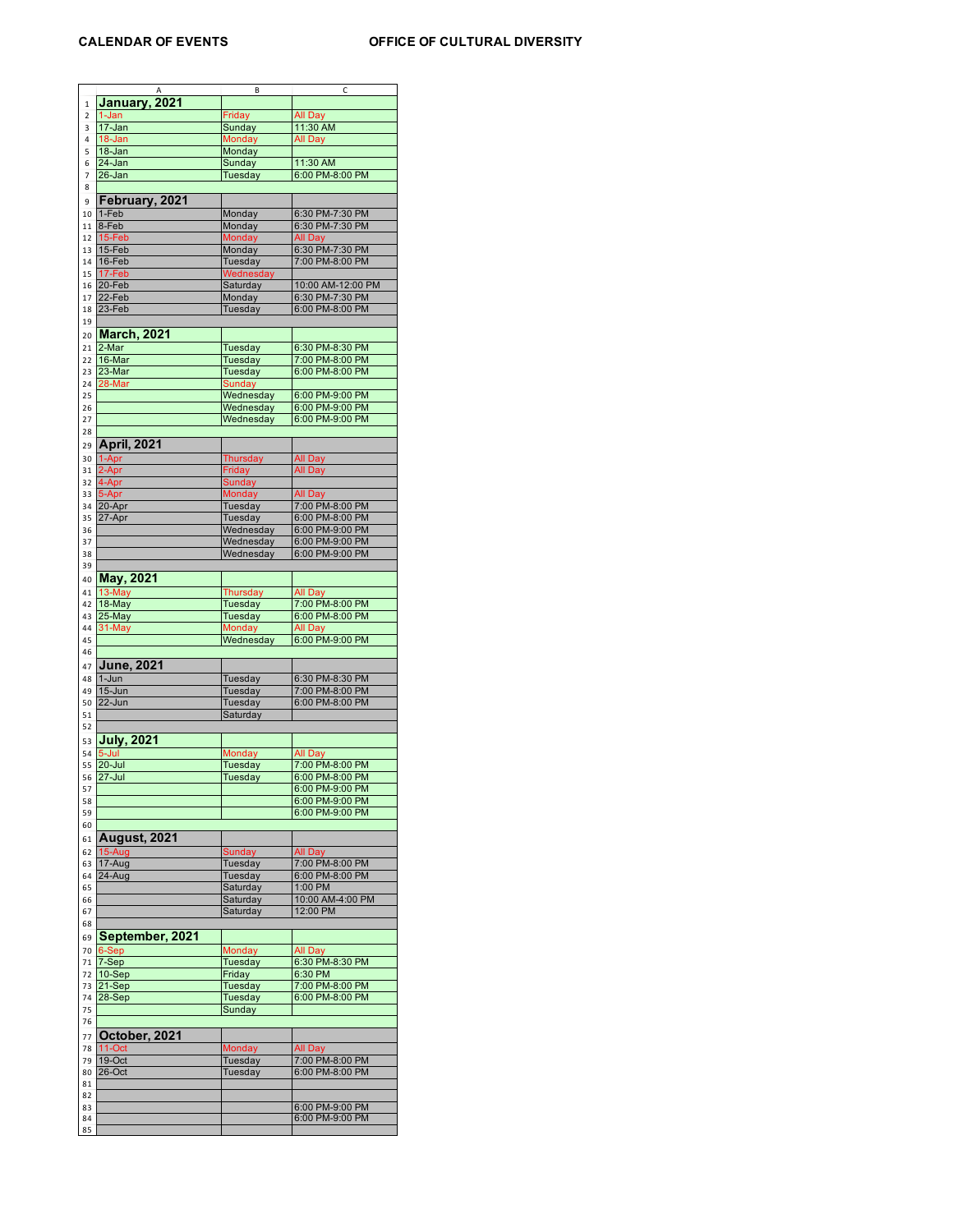|              |                     | В               | C                 |
|--------------|---------------------|-----------------|-------------------|
| $\mathbf{1}$ | January, 2021       |                 |                   |
| 2            | 1-Jan               | Friday          | All Day           |
| 3            | 17-Jan              | Sunday          | 11:30 AM          |
|              |                     |                 |                   |
| 4            | 18-Jan              | Monday          | All Day           |
| 5            | $18 - Jan$          | Monday          |                   |
| 6            | 24-Jan              | Sunday          | 11:30 AM          |
| 7            | 26-Jan              | Tuesday         | 6:00 PM-8:00 PM   |
| 8            |                     |                 |                   |
|              |                     |                 |                   |
| 9            | February, 2021      |                 |                   |
| 10           | 1-Feb               | Monday          | 6:30 PM-7:30 PM   |
| 11           | 8-Feb               | Monday          | 6:30 PM-7:30 PM   |
| 12           | 15-Feb              | Monday          | All Day           |
|              |                     |                 |                   |
| 13           | 15-Feb              | Monday          | 6:30 PM-7:30 PM   |
| 14           | 16-Feb              | Tuesday         | 7:00 PM-8:00 PM   |
| 15           | 17-Feb              | Wednesday       |                   |
| 16           | 20-Feb              | Saturday        | 10:00 AM-12:00 PM |
| 17           | 22-Feb              | Monday          | 6:30 PM-7:30 PM   |
| 18           | 23-Feb              | Tuesday         | 6:00 PM-8:00 PM   |
|              |                     |                 |                   |
| 19           |                     |                 |                   |
| 20           | <b>March, 2021</b>  |                 |                   |
| 21           | 2-Mar               | Tuesday         | 6:30 PM-8:30 PM   |
| 22           | 16-Mar              | Tuesday         | 7:00 PM-8:00 PM   |
|              |                     |                 |                   |
| 23           | 23-Mar              | Tuesday         | 6:00 PM-8:00 PM   |
| 24           | 28-Mar              | <b>Sunday</b>   |                   |
| 25           |                     | Wednesday       | 6:00 PM-9:00 PM   |
| 26           |                     | Wednesday       | 6:00 PM-9:00 PM   |
| 27           |                     | Wednesday       | 6:00 PM-9:00 PM   |
| 28           |                     |                 |                   |
|              |                     |                 |                   |
| 29           | <b>April, 2021</b>  |                 |                   |
| 30           | 1-Apr               | <b>Thursday</b> | <b>All Day</b>    |
| 31           | 2-Apr               | Friday          | All Day           |
| 32           | 4-Apr               | Sunday          |                   |
| 33           | 5-Apr               | Monday          | All Day           |
|              |                     |                 |                   |
| 34           | 20-Apr              | Tuesday         | 7:00 PM-8:00 PM   |
| 35           | 27-Apr              | Tuesday         | 6:00 PM-8:00 PM   |
| 36           |                     | Wednesday       | 6:00 PM-9:00 PM   |
| 37           |                     | Wednesday       | 6:00 PM-9:00 PM   |
| 38           |                     | Wednesday       | 6:00 PM-9:00 PM   |
| 39           |                     |                 |                   |
|              |                     |                 |                   |
| 40           | <b>May, 2021</b>    |                 |                   |
| 41           | 13-May              | Thursday        | All Day           |
| 42           | 18-May              | Tuesday         | 7:00 PM-8:00 PM   |
| 43           | 25-May              | Tuesday         | 6:00 PM-8:00 PM   |
| 44           | 31-May              | <b>Monday</b>   | All Day           |
|              |                     | Wednesday       | 6:00 PM-9:00 PM   |
| 45           |                     |                 |                   |
| 46           |                     |                 |                   |
| 47           | <b>June, 2021</b>   |                 |                   |
| 48           | 1-Jun               | Tuesday         | 6:30 PM-8:30 PM   |
| 49           | $15 - Jun$          | Tuesday         | 7:00 PM-8:00 PM   |
| 50           | 22-Jun              | Tuesday         | 6:00 PM-8:00 PM   |
| 51           |                     | Saturday        |                   |
|              |                     |                 |                   |
| 52           |                     |                 |                   |
| 53           | <b>July, 2021</b>   |                 |                   |
| 54           | $5 -$ Jul           | Monday          | All Day           |
| 55           | $20 -$ Jul          | Tuesday         | 7:00 PM-8:00 PM   |
| 56           | 27-Jul              |                 |                   |
| 57           |                     |                 |                   |
|              |                     | Tuesday         | 6:00 PM-8:00 PM   |
|              |                     |                 | 6:00 PM-9:00 PM   |
| 58           |                     |                 | 6:00 PM-9:00 PM   |
| 59           |                     |                 | 6:00 PM-9:00 PM   |
| 60           |                     |                 |                   |
| 61           | <b>August, 2021</b> |                 |                   |
|              |                     |                 |                   |
| 62           | $15-Aug$            | Sunday          | All Day           |
| 63           | 17-Aug              | Tuesday         | 7:00 PM-8:00 PM   |
| 64           | 24-Aug              | Tuesday         | 6:00 PM-8:00 PM   |
| 65           |                     | Saturday        | 1:00 PM           |
| 66           |                     | Saturday        | 10:00 AM-4:00 PM  |
| 67           |                     | Saturday        | 12:00 PM          |
| 68           |                     |                 |                   |
|              |                     |                 |                   |
| 69           | September, 2021     |                 |                   |
| 70           | 6-Sep               | Monday          | All Day           |
| 71           | 7-Sep               | Tuesday         | 6:30 PM-8:30 PM   |
| 72           | $10-Sep$            | Friday          | 6:30 PM           |
| 73           | 21-Sep              | Tuesday         | 7:00 PM-8:00 PM   |
| 74           |                     |                 |                   |
|              | 28-Sep              | Tuesday         | 6:00 PM-8:00 PM   |
| 75           |                     | Sunday          |                   |
| 76           |                     |                 |                   |
| 77           | October, 2021       |                 |                   |
| 78           | 11-Oct              | Monday          | All Day           |
|              |                     |                 |                   |
| 79           | $19$ -Oct           | Tuesday         | 7:00 PM-8:00 PM   |
| 80           | 26-Oct              | Tuesday         | 6:00 PM-8:00 PM   |
| 81           |                     |                 |                   |
| 82           |                     |                 |                   |
| 83           |                     |                 | 6:00 PM-9:00 PM   |
| 84<br>85     |                     |                 | 6:00 PM-9:00 PM   |